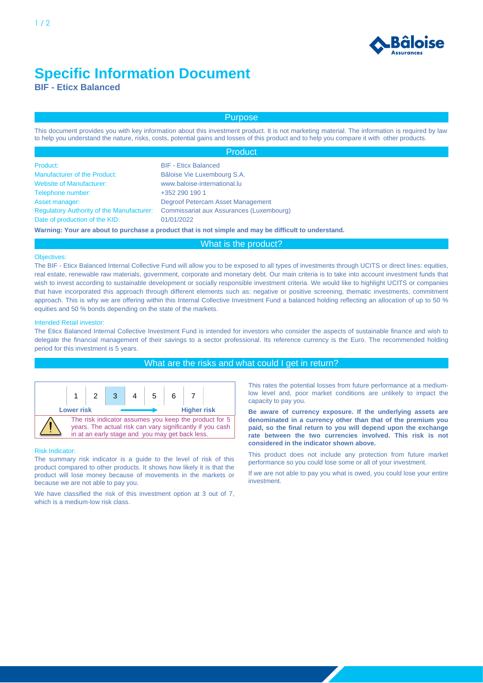

# **Specific Information Document**

**BIF - Eticx Balanced**

# Purpose

This document provides you with key information about this investment product. It is not marketing material. The information is required by law to help you understand the nature, risks, costs, potential gains and losses of this product and to help you compare it with other products.

|                                                  | <b>Product</b>                                                                                       |  |
|--------------------------------------------------|------------------------------------------------------------------------------------------------------|--|
| Product:                                         | <b>BIF - Eticx Balanced</b>                                                                          |  |
| <b>Manufacturer of the Product:</b>              | Bâloise Vie Luxembourg S.A.                                                                          |  |
| <b>Website of Manufacturer:</b>                  | www.baloise-international.lu                                                                         |  |
| Telephone number:                                | +352 290 190 1                                                                                       |  |
| Asset manager:                                   | Degroof Petercam Asset Management                                                                    |  |
| <b>Regulatory Authority of the Manufacturer:</b> | Commissariat aux Assurances (Luxembourg)                                                             |  |
| Date of production of the KID:                   | 01/01/2022                                                                                           |  |
|                                                  | Warning: Your are about to purchase a product that is not simple and may be difficult to understand. |  |

# What is the product?

#### Objectives:

The BIF - Eticx Balanced Internal Collective Fund will allow you to be exposed to all types of investments through UCITS or direct lines: equities, real estate, renewable raw materials, government, corporate and monetary debt. Our main criteria is to take into account investment funds that wish to invest according to sustainable development or socially responsible investment criteria. We would like to highlight UCITS or companies that have incorporated this approach through different elements such as: negative or positive screening, thematic investments, commitment approach. This is why we are offering within this Internal Collective Investment Fund a balanced holding reflecting an allocation of up to 50 % equities and 50 % bonds depending on the state of the markets.

#### Intended Retail investor:

The Eticx Balanced Internal Collective Investment Fund is intended for investors who consider the aspects of sustainable finance and wish to delegate the financial management of their savings to a sector professional. Its reference currency is the Euro. The recommended holding period for this investment is 5 years.

# What are the risks and what could I get in return?



## Risk Indicator:

The summary risk indicator is a guide to the level of risk of this product compared to other products. It shows how likely it is that the product will lose money because of movements in the markets or because we are not able to pay you.

We have classified the risk of this investment option at 3 out of 7, which is a medium-low risk class.

This rates the potential losses from future performance at a mediumlow level and, poor market conditions are unlikely to impact the capacity to pay you.

**Be aware of currency exposure. If the underlying assets are denominated in a currency other than that of the premium you paid, so the final return to you will depend upon the exchange rate between the two currencies involved. This risk is not considered in the indicator shown above.**

This product does not include any protection from future market performance so you could lose some or all of your investment.

If we are not able to pay you what is owed, you could lose your entire investment.